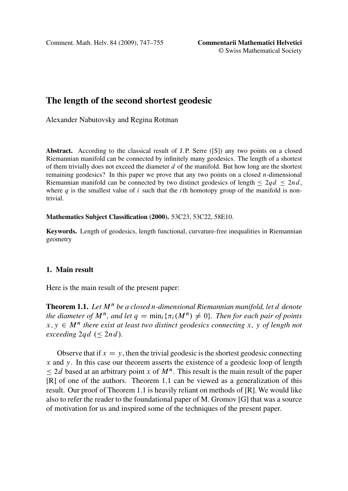<span id="page-0-0"></span>Comment. Math. Helv. 84 (2009), 747–755 **Commentarii Mathematici Helvetici**

© Swiss Mathematical Society

# **The length of the second shortest geodesic**

Alexander Nabutovsky and Regina Rotman

Abstract. According to the classical result of J.P. Serre ([S]) any two points on a closed Riemannian manifold can be connected by infinitely many geodesics. The length of a shortest of them trivially does not exceed the diameter  $d$  of the manifold. But how long are the shortest remaining geodesics? In this paper we prove that any two points on a closed n-dimensional Riemannian manifold can be connected by two distinct geodesics of length  $\leq 2qd \leq 2nd$ , where a is the smallest value of i such that the *i*th homotopy group of the manifold is nonwhere q is the smallest value of i such that the ith homotopy group of the manifold is nontrivial.

#### **Mathematics Subject Classification (2000).** 53C23, 53C22, 58E10.

**Keywords.** Length of geodesics, length functional, curvature-free inequalities in Riemannian geometry

# **1. Main result**

Here is the main result of the present paper:

**Theorem 1.1.** Let  $M^n$  be a closed n-dimensional Riemannian manifold, let d denote *the diameter of*  $M^n$ , and let  $q = \min_i {\{\pi_i(M^n) \neq 0\}}$ . Then for each pair of points<br> $x, y \in M^n$  there exist at least two distinct geodesics connecting  $x, y$  of length not  $x, y \in M^n$  there exist at least two distinct geodesics connecting x, y of length not  $exceeding 2qd \ (\leq 2nd).$ 

Observe that if  $x = y$ , then the trivial geodesic is the shortest geodesic connecting  $x$  and  $y$ . In this case our theorem asserts the existence of a geodesic loop of length  $\Box$  and the authors. Theorem 1.1 can be viewed as a generalization of this  $\leq 2d$  based at an arbitrary point x of  $M^n$ . This result is the main result of the paper result. Our proof of Theorem 1.1 is heavily reliant on methods of [R]. We would like also to refer the reader to the foundational paper of M. Gromov [G] that was a source of motivation for us and inspired some of the techniques of the present paper.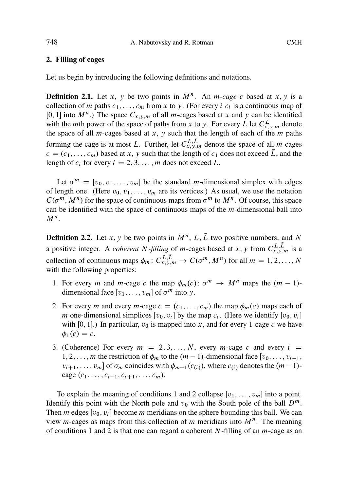#### **2. Filling of cages**

Let us begin by introducing the following definitions and notations.

**Definition 2.1.** Let x, y be two points in  $M^n$ . An m-cage c based at x, y is a collection of m paths  $c_1, \ldots, c_m$  from x to y. (For every i  $c_i$  is a continuous map of [0, 1] into  $M^n$ .) The space  $C_{x,y,m}$  of all *m*-cages based at x and y can be identified with the *m*th power of the space of paths from x to y. For every L let  $C_{x,y,m}^L$  denote the space of all  $m$ -cages based at  $x$ ,  $y$  such that the length of each of the  $m$  paths forming the cage is at most L. Further, let  $C_{x,y,m}^{L,L}$  denote the space of all *m*-cages  $c = (c_1, \ldots, c_m)$  based at x, y such that the length of  $c_1$  does not exceed  $\bar{L}$ , and the length of  $c_i$  for every  $i = 2, 3, \ldots, m$  does not exceed L.

Let  $\sigma^m = [v_0, v_1, \ldots, v_m]$  be the standard *m*-dimensional simplex with edges of length one. (Here  $v_0, v_1, \ldots, v_m$  are its vertices.) As usual, we use the notation  $C(\sigma^m, M^n)$  for the space of continuous maps from  $\sigma^m$  to  $M^n$ . Of course, this space can be identified with the space of continuous maps of the  $m$ -dimensional ball into  $M^n$ .

**Definition 2.2.** Let x, y be two points in  $M^n$ , L,  $\overline{L}$  two positive numbers, and N a positive integer. A *coherent N-filling* of *m*-cages based at x, y from  $C_{x,y,m}^{L,L}$  is a collection of continuous maps  $\phi_m: C^{L,L}_{x,y,m} \to C(\sigma^m, M^n)$  for all  $m = 1, 2, ..., N$ <br>with the following properties: with the following properties:

- 1. For every *m* and *m*-cage *c* the map  $\phi_m(c)$ :  $\sigma^m \to M^n$  maps the  $(m 1)$ dimensional face  $[v_1, \ldots, v_m]$  of  $\sigma^m$  into y.
- 2. For every *m* and every *m*-cage  $c = (c_1, \ldots, c_m)$  the map  $\phi_m(c)$  maps each of *m* one-dimensional simplices [ $v_0$ ,  $v_i$ ] by the map  $c_i$ . (Here we identify [ $v_0$ ,  $v_i$ ] with [0, 1].) In particular,  $v_0$  is mapped into x, and for every 1-cage c we have  $\phi_1(c) = c$ .
- 3. (Coherence) For every  $m = 2, 3, ..., N$ , every m-cage c and every  $i =$ 1, 2, ..., m the restriction of  $\phi_m$  to the  $(m-1)$ -dimensional face  $[v_0, \ldots, v_{i-1},$ <br> $v_{i+1}, \ldots, v_{i-1}$  of  $\sigma$ , coincides with  $\phi_{i+1}(c_{i+1})$  where  $c_{i+1}$  denotes the  $(m-1)$  $v_{i+1}, \ldots, v_m$ ] of  $\sigma_m$  coincides with  $\phi_{m-1}(c_{(i)})$ , where  $c_{(i)}$  denotes the  $(m-1)$ cage  $(c_1, \ldots, c_{i-1}, c_{i+1}, \ldots, c_m)$ .

To explain the meaning of conditions 1 and 2 collapse  $[v_1, \ldots, v_m]$  into a point. Identify this point with the North pole and  $v_0$  with the South pole of the ball  $D^m$ . Then *m* edges [ $v_0$ ,  $v_i$ ] become *m* meridians on the sphere bounding this ball. We can view *m*-cages as maps from this collection of *m* meridians into  $M^n$ . The meaning of conditions 1 and 2 is that one can regard a coherent N-filling of an  $m$ -cage as an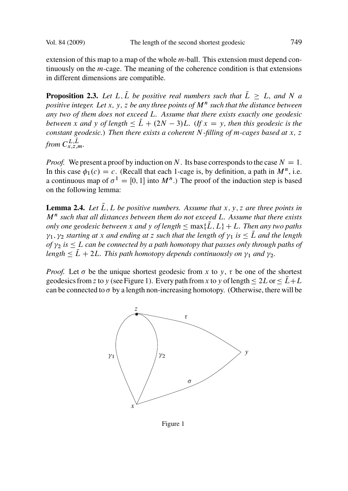<span id="page-2-0"></span>extension of this map to a map of the whole  $m$ -ball. This extension must depend continuously on the m-cage. The meaning of the coherence condition is that extensions in different dimensions are compatible.

**Proposition 2.3.** Let L,  $\overline{L}$  be positive real numbers such that  $\overline{L} > L$ , and N a *positive integer. Let* x, y, z be any three points of  $M<sup>n</sup>$  such that the distance between *any two of them does not exceed* L*. Assume that there exists exactly one geodesic between* x and y of length  $\leq \bar{L} + (2N - 3)L$ . (If  $x = y$ , then this geodesic is the constant geodesic). Then there exists a coherent N-filling of m-cages hased at x z *constant geodesic.*) *Then there exists a coherent* N*-filling of* m*-cages based at* x*,* z from  $C_{x,z,m}^{L,L}$ .

*Proof.* We present a proof by induction on N. Its base corresponds to the case  $N = 1$ . In this case  $\phi_1(c) = c$ . (Recall that each 1-cage is, by definition, a path in  $M^n$ , i.e. a continuous map of  $\sigma^1 = [0, 1]$  into  $M^n$ .) The proof of the induction step is based on the following lemma:

**Lemma 2.4.** *Let*  $\overline{L}$ ,  $L$  *be positive numbers. Assume that*  $x$ ,  $y$ ,  $z$  *are three points in* M<sup>n</sup> *such that all distances between them do not exceed* L*. Assume that there exists only one geodesic between* x *and* y *of length*  $\leq$  max $\{\overline{L}, L\}$  + L. Then any two paths<br>*V<sub>1</sub>,*  $\gamma$ *<sup>2</sup> starting at x and ending at z such that the length of*  $\gamma$ *<sub>1</sub> is*  $\lt \overline{L}$  *and the length*  $\gamma_1, \gamma_2$  *starting at* x *and ending at* z *such that the length of*  $\gamma_1$  *is*  $\leq \overline{L}$  *and the length*<br>of  $\gamma_2$  *is*  $\leq$  *L can be connected by a nath homotony that nasses only through naths of of*  $\gamma_2$  *is*  $\leq$  *L can be connected by a path homotopy that passes only through paths of length*  $\lt$   $\overline{I}$   $+$  2*I L This path homotopy depends continuously on y<sub>2</sub> and y<sub>2</sub>*  $length \leq \bar{L} + 2L$ . This path homotopy depends continuously on  $\gamma_1$  and  $\gamma_2$ .

*Proof.* Let  $\sigma$  be the unique shortest geodesic from x to y,  $\tau$  be one of the shortest geodesics from z to y (see Figure 1). Every path from x to y of length  $\leq 2L$  or  $\leq \bar{L}+L$ <br>can be connected to  $\sigma$  by a length non-increasing homotopy. (Otherwise, there will be can be connected to  $\sigma$  by a length non-increasing homotopy. (Otherwise, there will be



Figure 1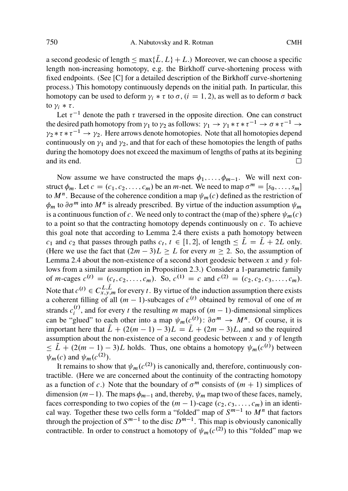# 750 A. Nabutovsky and R. Rotman CMH

a second geodesic of length  $\leq$  max $\{\overline{L}, L\} + L$ .) Moreover, we can choose a specific<br>length non-increasing homotopy e.g. the Birkhoff curve-shortening process with length non-increasing homotopy, e.g. the Birkhoff curve-shortening process with fixed endpoints. (See [C] for a detailed description of the Birkhoff curve-shortening process.) This homotopy continuously depends on the initial path. In particular, this homotopy can be used to deform  $\gamma_i * \tau$  to  $\sigma$ ,  $(i = 1, 2)$ , as well as to deform  $\sigma$  back to  $\gamma_i * \tau$ .

Let  $\tau^{-1}$  denote the path  $\tau$  traversed in the opposite direction. One can construct the desired path homotopy from  $\gamma_1$  to  $\gamma_2$  as follows:  $\gamma_1 \rightarrow \gamma_1 * \tau * \tau^{-1} \rightarrow \sigma * \tau^{-1}$ <br> $\gamma_2 * \tau * \tau^{-1} \rightarrow \gamma_2$ . Here arrows denote homotopies. Note that all homotopies dependence  $\gamma_2 * \tau * \tau^{-1} \rightarrow \gamma_2$ . Here arrows denote homotopies. Note that all homotopies depend<br>continuously on  $\gamma_1$  and  $\gamma_2$  and that for each of these homotopies the length of paths continuously on  $\gamma_1$  and  $\gamma_2$ , and that for each of these homotopies the length of paths during the homotopy does not exceed the [max](#page-2-0)imum of lengths of paths at its begining and its end.  $\Box$ 

No[w ass](#page-2-0)ume we have constructed the maps  $\phi_1, \ldots, \phi_{m-1}$ . We will next construct  $\phi_m$ . Let  $c = (c_1, c_2, \ldots, c_m)$  be an m-n[et. W](#page-2-0)e need to map  $\sigma^m = [s_0, \ldots, s_m]$ to  $M^n$ . Because of the coherence condition a map  $\psi_m(c)$  defined as the restriction of  $\phi_m$  to  $\partial \sigma^m$  into  $M^n$  is already prescribed. By virtue of the induction assumption  $\psi_m$ is a continuous function of c. We need only to contract the (map of the) sphere  $\psi_m(c)$ to a point so that the contracting homotopy depends continuously on  $c$ . To achieve this goal note that according to Lemma 2.4 there exists a path homotopy between  $c_1$  and  $c_2$  that passes through paths  $c_t$ ,  $t \in [1, 2]$ , of length  $\leq \tilde{L} = \tilde{L} + 2L$  only.<br>(Here we use the fact that  $(2m - 3)I > I$  for every  $m > 2$ . So, the assumption of (Here we use the fact that  $(2m - 3)L \geq L$  for every  $m \geq 2$ . So, the assumption of Lemma 2.4 about the non-existence of a second short geodesic between x and y follows from a similar assumption in Proposition 2.3.) Consider a 1-parametric family of m-cages  $c^{(t)} = (c_t, c_2, \ldots, c_m)$ . So,  $c^{(1)} = c$  and  $c^{(2)} = (c_2, c_2, c_3, \ldots, c_m)$ . Note that  $c^{(t)} \in C_{x,y,m}^{L,L}$  for every t. By virtue of the induction assumption there exists a coherent filling of all  $(m-1)$ -subcages of  $c^{(t)}$  obtained by removal of one of m a coherent filling of all  $(m - 1)$ -subcages of  $c<sup>(t)</sup>$  obtained by removal of one of m strands  $c_i^{(t)}$ , and for every t the resulting m maps of  $(m - 1)$ -dimensional simplices can be "glued" to each other into a map  $\psi_m(c^{(t)})$ :  $\partial \sigma^m \to M^n$ . Of course, it is important here that  $\tilde{L} + (2(m - 1) - 3)L = \tilde{L} + (2m - 3)L$ , and so the required assumption about the non-existence of a second geodesic between  $x$  and  $y$  of length  $\psi_m(c)$  and  $\psi_m(c^{(2)})$ .  $\leq \tilde{L} + (2(m - 1) - 3)L$  holds. Thus, one obtains a homotopy  $\psi_m(c^{(t)})$  between

It remains to show that  $\psi_m(c^{(2)})$  is canonically and, therefore, continuously contractible. (Here we are concerned about the continuity of the contracting homotopy as a function of c.) Note that the boundary of  $\sigma^m$  consists of  $(m + 1)$  simplices of dimension  $(m-1)$ . The maps  $\phi_{m-1}$  and, thereby,  $\psi_m$  map two of these faces, namely, faces corresponding to two copies of the  $(m-1)$ -cage  $(c_2, c_3, \ldots, c_n)$  in an identifaces corresponding to two copies of the  $(m - 1)$ -cage  $(c_2, c_3, \ldots, c_m)$  in an identical way. Together these two cells form a "folded" map of  $S^{m-1}$  to  $M^n$  that factors through the projection of  $S^{m-1}$  to the disc  $D^{m-1}$ . This map is obviously canonically contractible. In order to construct a homotopy of  $\psi_m(c^{(2)})$  to this "folded" map we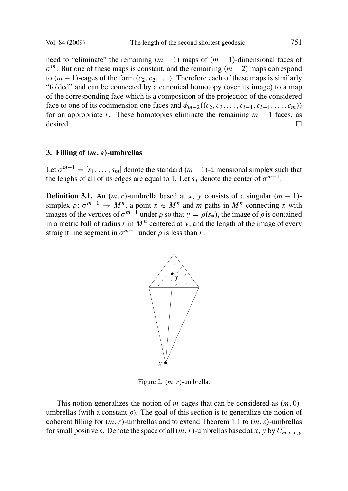#### Vol. 84 (2009) The length of the second shortest geodesic 751

need to "eliminate" the remaining  $(m - 1)$  maps of  $(m - 1)$ -dimensional faces of  $\sigma^m$ . But one of these maps is constant, and the remaining  $(m - 2)$  maps correspond to  $(m - 1)$ -cages of the form  $(c_2, c_2,...)$ . Therefore each of these maps is similarly "folded" and can be connected by a canonical homotopy (over its image) to a map of the corresponding face which is a composition of the projection of the considered face to one of its codimension one faces and  $\phi_{m-2}((c_2, c_3, \ldots, c_{i-1}, c_{i+1}, \ldots, c_m))$ for an appropriate *i*. These homotopies eliminate the remaining  $m - 1$  faces, as desired. desired.  $\Box$ 

# **3. Filling of**  $(m, \varepsilon)$ -umbrellas

Let  $\sigma^{m-1} = [s_1, \ldots, s_m]$  denote the standard  $(m-1)$ -dimensional simplex such that the lenghs of all of its edges are equal to 1. Let  $s_*$  denote the center of  $\sigma^{m-1}$ .

**Definition 3.1.** An  $(m, r)$ -umbrella based at x, y consists of a singular  $(m - 1)$ simplex  $\rho: \sigma^{m-1} \to M^n$ , a point  $x \in M^n$  and m paths in  $M^n$  connecting x with images of the vertices of  $\sigma^{m-1}$  under a so that  $y = \rho(s_0)$ , the image of a is contained images of the vertices of  $\sigma^{m-1}$  under  $\rho$  so that  $y = \rho(s_*)$ , the image of  $\rho$  is contained<br>in a metric ball of radius r in  $M^n$  centered at y, and the length of the image of every in a metric ball of radius r in  $M<sup>n</sup>$  centered at y, and the length of the image of every straight line segment in  $\sigma^{m-1}$  under  $\rho$  is less than r.



Figure 2.  $(m, r)$ -umbrella.

This notion generalizes the notion of m-cages that can be considered as  $(m, 0)$ umbrellas (with a constant  $\rho$ ). The goal of this section is to generalize the notion of coherent filling for  $(m, r)$ -umbrellas and to extend Theorem 1.1 to  $(m, \varepsilon)$ -umbrellas for small positive  $\varepsilon$ . Denote the space of all  $(m, r)$ -umbrellas based at x, y by  $U_{m,r,x,y}$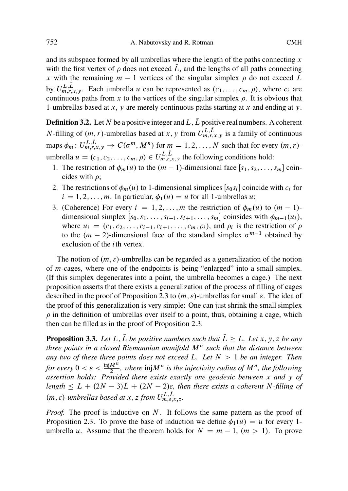<span id="page-5-0"></span>752 A. Nabutovsky and R. Rotman CMH

and its subspace formed by all umbrellas where the length of the paths connecting  $x$ with the first vertex of  $\rho$  does not exceed L, and the lengths of all paths connecting x with the remaining  $m - 1$  vertices of the singular simplex  $\rho$  do not exceed L by  $U_{m,r,x,y}^{L,L}$ . Each umbrella u can be represented as  $(c_1,\ldots,c_m,\rho)$ , where  $c_i$  are continuous paths from x to the vertices of the singular simplex  $\rho$ . It is obvious that 1-umbrellas based at x, y are merely continuous paths starting at x and ending at y.

**Definition 3.2.** Let N be a positive integer and L,  $\overline{L}$  positive real numbers. A coherent *N*-filling of  $(m, r)$ -umbrellas based at x, y from  $U_{m,r,x,y}^{L,L}$  is a family of continuous maps  $\phi_m: U^{L,L}_{m,r,x,y} \to C(\sigma^m, M^n)$  for  $m = 1, 2, ..., N$  such that for every  $(m, r)$ umbrella  $u = (c_1, c_2, \dots, c_m, \rho) \in U_{m,r,x,y}^{L,L}$  the following conditions hold:

- 1. The restriction of  $\phi_m(u)$  to the  $(m 1)$ -dimensional face  $[s_1, s_2, \ldots, s_m]$  coincides with  $\rho$ ;
- 2. The restrictions of  $\phi_m(u)$  to 1-dimensional simplices  $[s_0s_i]$  coincide with  $c_i$  for  $i = 1, 2, \ldots, m$ . In particular,  $\phi_1(u) = u$  for all 1-umbrellas u;
- 3. (Coherence) For every  $i = 1, 2, ..., m$  the restriction of  $\phi_m(u)$  to  $(m 1)$ dimensional simplex  $[s_0, s_1, \ldots, s_{i-1}, s_{i+1}, \ldots, s_m]$  coinsides with  $\phi_{m-1}(u_i)$ , where  $u_i = (c_1, c_2, \ldots, c_{i-1}, c_{i+1}, \ldots, c_m, \rho_i)$ , and  $\rho_i$  is the restriction of  $\rho$  to the  $(m-2)$ -dimensional face of the standard simplex  $\sigma^{m-1}$  obtained by to the  $(m - 2)$ -dimensional face of the standard simplex  $\sigma^{m-1}$  obtained by exclusion of the *i*th vertex exclusion of the  $i$ th vertex.

The notion of  $(m, \varepsilon)$ -umbrellas can be regarded as a generalization of the notion of m-cages, where one of the endpoints is being "enlarged" into a small simplex. (If this simplex degenerates into a point, the umbrella becomes a cage.) The next proposition asserts that there exists a generalization of the process of filling of cages described in the proof of Proposition 2.3 to  $(m, \varepsilon)$ -umbrellas for small  $\varepsilon$ . The idea of the proof of this generalization is very simple: One can just shrink the small simplex  $\rho$  in the definition of umbrellas over itself to a point, thus, obtaining a cage, which then can be filled as in the proof of Proposition 2.3.

**Propositio[n 3.3](#page-2-0).** Let L,  $\overline{L}$  be positive numbers such that  $\overline{L} \geq L$ . Let x, y, z be any *three points in a closed Riemannian manifold*  $M<sup>n</sup>$  *such that the distance between any two of these three points does not exceed* L*. Let* N >1 *be an integer. Then* for every  $0 < \varepsilon < \frac{\text{inj}M^n}{2}$ , where  $\text{inj}M^n$  is the injectivity radius of  $M^n$ , the following *assertion holds: Provided there exists exactly one geodesic between* x *and* y *of*  $length \leq \overline{L} + (2N - 3)L + (2N - 2)\varepsilon$ , then there exists a coherent N-filling of  $(m, \varepsilon)$ -umbrellas based at x, z from  $U_{m,\varepsilon,x,z}^{L,L}$ .

*Proof.* The proof is inductive on N. It follows the same pattern as the proof of Proposition 2.3. To prove the base of induction we define  $\phi_1(u) = u$  for every 1umbrella u. Assume that the theorem holds for  $N = m - 1$ ,  $(m > 1)$ . To prove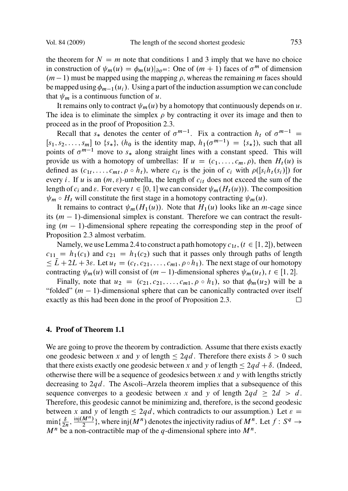Vol. 84 (2009) The length [of th](#page-2-0)e second shortest geodesic 753

the theorem for  $N = m$  note that conditions 1 and 3 imply that we have no choice in construction of  $\psi_m(u) = \phi_m(u)|_{\partial \sigma^m}$ : One of  $(m+1)$  faces of  $\sigma^m$  of dimension  $(m-1)$  must be manned using the manning a whereas the remaining m faces should  $(m - 1)$  must be mapped using the mapping  $\rho$ , whereas the remaining m faces should be mapped using  $\phi_{m-1}(u_i)$ . Using a part of the induction assumption we can conclude that  $\psi_m$  is a continuous function of u.

It remains only to contract  $\psi_m(u)$  by a homotopy that continuously depends on u. The idea is to eliminate the simplex  $\rho$  by contracting it over its image and then to proceed as in the proof of Proposition 2.3.

Recall that  $s_*$  denotes the center of  $\sigma^{m-1}$ . Fix a contraction  $h_t$  of  $\sigma^{m-1}$  $[s_1, s_2,..., s_m]$  to  $\{s_*\}$ ,  $(h_0$  is the identity map,  $h_1(\sigma^{m-1}) = \{s_*\}$ , such that all points of  $\sigma^{m-1}$  move to such along straight lines with a constant speed. This will points of  $\sigma^{m-1}$  move to  $s_*$  along straight lines with a constant speed. This will provide us with a homoto[py o](#page-2-0)f umbrellas: If  $u = (c_1, \ldots, c_m, \rho)$ , then  $H_t(u)$  is defined as  $(c_1t,\ldots,c_{mt}, \rho \circ h_t)$ , where  $c_{it}$  is the join of  $c_i$  with  $\rho([s_i h_t(s_i)])$  for every i. If u is an  $(m, \varepsilon)$ -umbrella, the length of  $c_{it}$  does not exceed the sum of the length of  $c_i$  and  $\varepsilon$ . For every  $t \in [0, 1]$  we can consider  $\psi_m(H_t(u))$ . The composition  $\psi_m \circ H_t$  will constitute the first stage in a homotopy contracting  $\psi_m(u)$ .

It remains to contract  $\psi_m(H_1(u))$ . Note that  $H_1(u)$  looks like an *m*-cage since its  $(m - 1)$ -dimensional simplex is constant. Therefore [we](#page-2-0) can contract the resulting  $(m - 1)$ -dimensional sphere repeating the corresponding step in the proof of Proposition 2.3 almost verbatim.

Namely, we use Le[mma](#page-0-0) 2.4 to construct a path homotopy  $c_{1t}$ ,  $(t \in [1, 2])$ , between  $c_{11} = h_1(c_1)$  and  $c_{21} = h_1(c_2)$  such that it passes only through paths of length contracting  $\psi_m(u)$  will consist of  $(m-1)$ -dimensional spheres  $\psi_m(u_t)$ ,  $t \in [1, 2]$ .<br>Finally, note that  $u_t = (c_1, c_2, \ldots, c_{k-1}, c_k)$ , so that  $\phi_n(u_t)$  will be  $\leq L+2L+3\varepsilon$ . Let  $u_t = (c_t, c_{21}, \ldots, c_{m1}, \rho \circ h_1)$ . The next stage of our homotopy

Finally, note that  $u_2 = (c_{21}, c_{21}, \ldots, c_{m1}, \rho \circ h_1)$ , so that  $\phi_m(u_2)$  will be a "folded"  $(m - 1)$ -dimensional sphere that can be canonically contracted over itself exactly as this had been done in the proof of Proposition 2.3. exactly as this had been done in the proof of Proposition 2.3.

### **4. Proof of Theorem 1.1**

We are going to prove the theorem by contradiction. Assume that there exists exactly one geodesic between x and y of length  $\leq 2qd$ . Therefore there exists  $\delta > 0$  such that there exists exactly one geodesic between x and y of length  $\leq 2ad + \delta$  (Indeed that there exists exactly one geodesic between x and y of length  $\leq 2qd + \delta$ . (Indeed, otherwise there will be a sequence of geodesics between x and y with lengths strictly otherwise there will be a sequence of geodesics between  $x$  and  $y$  with lengths strictly decreasing to  $2qd$ . The Ascoli–Arzela theorem implies that a subsequence of this sequence converges to a geodesic between x and y of length  $2qd \geq 2d > d$ . Therefore, this geodesic cannot be minimizing and, therefore, is the second geodesic between x and y of length  $\leq 2qd$ , which contradicts to our assumption.) Let  $\varepsilon =$ <br>min  $(\delta^{-\text{inj}(M^n)})$ , where ini(M<sup>n</sup>) denotes the inicetivity redius of M<sup>n</sup>, Let f : Sq.  $\min\{\frac{\delta}{2n},\frac{\text{inj}(M^n)}{2}\}\,$ , where  $\text{inj}(M^n)$  denotes the injectivity radius of  $M^n$ . Let  $f: S^q \to M^n$  be a non-contractible map of the *a*-dimensional sphere into  $M^n$ .  $M^n$  be a non-contractible map of the q-dimensional sphere into  $M^n$ .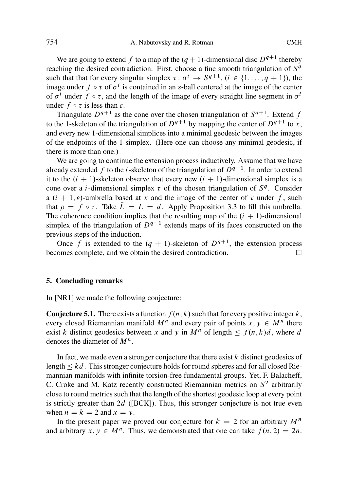# 754 A. Nabutovsky and R. Rotman CMH

We are going to extend f to a map of the  $(q + 1)$ -dimensional disc  $D^{q+1}$  thereby reaching the desired contradiction. First, choose a fine smooth triangulation of  $S<sup>q</sup>$ such that that for every singular simplex  $\tau : \sigma^i \to S^{q+1}$ ,  $(i \in \{1, \ldots, q+1\})$ , the image under  $f \circ \tau$  of  $\sigma^i$  is contained in an  $\varepsilon$ -ball centered at the image of the center of  $\sigma^{i}$  under  $f \circ \tau$ , and the length of the image of every straight line segment in  $\sigma^{i}$ under  $f \circ \tau$  is less than  $\varepsilon$ .

Triangulate  $D^{q+1}$  as the cone over the chosen triangulation of  $S^{q+1}$ . Extend f to [the](#page-5-0) 1-skeleton of the triangulation of  $D^{q+1}$  by mapping the center of  $D^{q+1}$  to x, and every new 1-dimensional simplices into a minimal geodesic between the images of the endpoints of the 1-simplex. (Here one can choose any minimal geodesic, if there is more than one.)

We are going to continue the extension process inductively. Assume that we have already extended f to the *i*-skeleton of the triangulation of  $D^{q+1}$ . In order to extend it to the  $(i + 1)$ -skeleton observe that every new  $(i + 1)$ -dimensional simplex is a cone over a *i*-dimensional simplex  $\tau$  of the chosen triangulation of  $S<sup>q</sup>$ . Consider a  $(i + 1, \varepsilon)$ -umbrella based at x and the image of the center of  $\tau$  under f, such that  $\rho = f \circ \tau$ . Take  $\bar{L} = L = d$ . Apply Proposition 3.3 to fill this umbrella. The coherence condition implies that the resulting map of the  $(i + 1)$ -dimensional simplex of the triangulation of  $D^{q+1}$  extends maps of its faces constructed on the previous steps of the induction.

Once f is extended to the  $(q + 1)$ -skeleton of  $D^{q+1}$ , the extension process omes complete, and we obtain the desired contradiction. becomes complete, and we obtain the desired contradiction.

#### **5. Concluding remarks**

In [NR1] we made the following conjecture:

**Conjecture 5.1.** There exists a function  $f(n, k)$  such that for every positive integer k, every closed Riemannian manifold  $M^n$  and every pair of points  $x, y \in M^n$  there exist k distinct geodesics between x and y in  $M^n$  of length  $\leq f(n, k)d$ , where denotes the diameter of  $M^n$ denotes the diameter of  $M^n$ .

In fact, we made even a stronger conjecture that there exist  $k$  distinct geodesics of length  $\leq kd$ . This stronger conjecture holds for round spheres and for all closed Rie-<br>mannian manifolds with infinite torsion-free fundamental groups. Yet, E. Balacheff mannian manifolds with infinite torsion-free fundamental groups. Yet, F. Balacheff, C. Croke and M. Katz recently constructed Riemannian metrics on  $S<sup>2</sup>$  arbitrarily close to round metrics such that the length of the shortest geodesic loop at every point is strictly greater than  $2d$  ([BCK]). Thus, this stronger conjecture is not true even when  $n = k = 2$  and  $x = y$ .

In the present paper we proved our conjecture for  $k = 2$  for an arbitrary  $M^n$ and arbitrary  $x, y \in M^n$ . Thus, we demonstrated that one can take  $f(n, 2) = 2n$ .